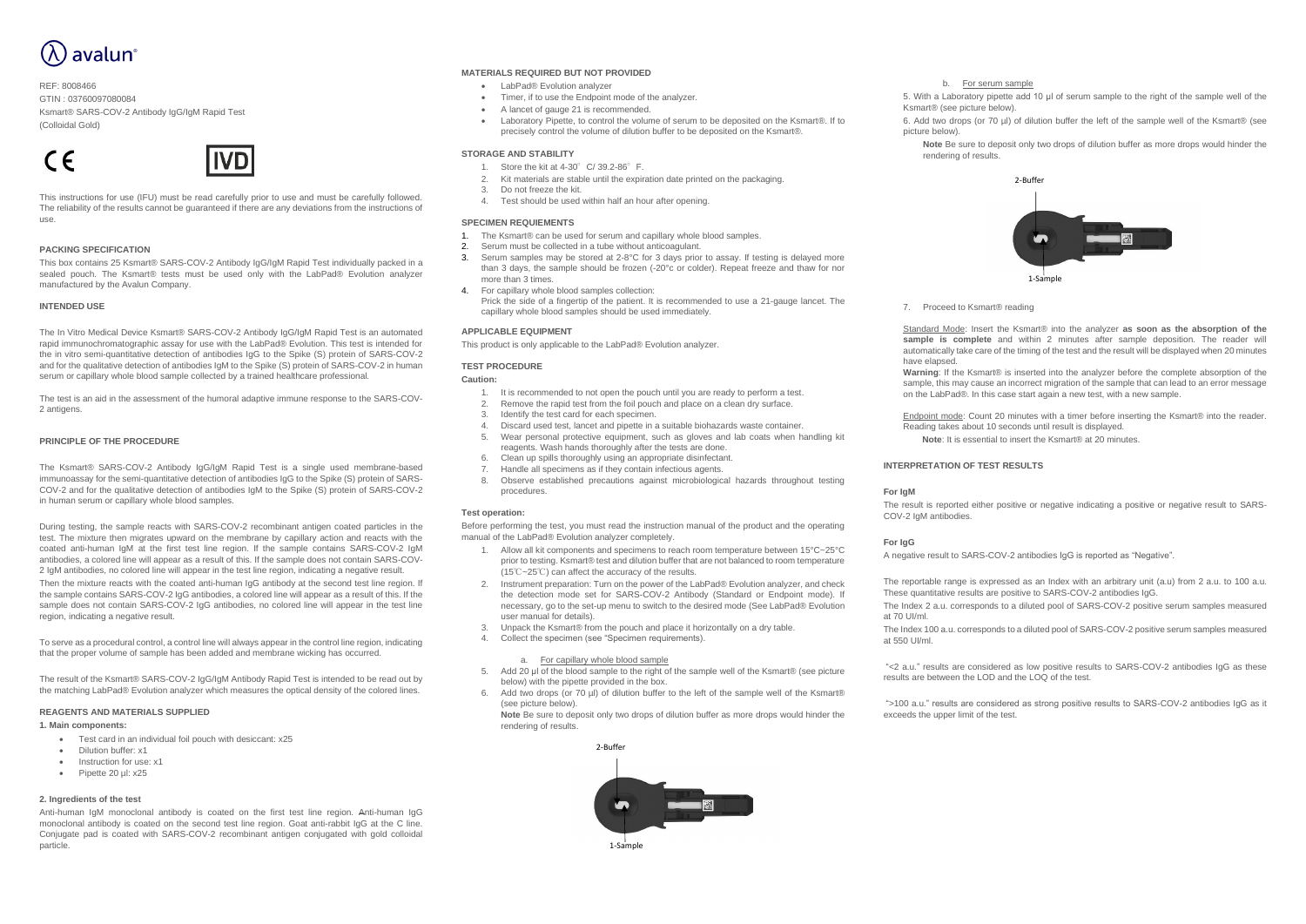# avalun

# REF: 8008466 GTIN : 03760097080084 Ksmart® SARS-COV-2 Antibody IgG/IgM Rapid Test (Colloidal Gold)

# $\epsilon$



This instructions for use (IFU) must be read carefully prior to use and must be carefully followed. The reliability of the results cannot be guaranteed if there are any deviations from the instructions of use.

# **PACKING SPECIFICATION**

This box contains 25 Ksmart® SARS-COV-2 Antibody IgG/IgM Rapid Test individually packed in a sealed pouch. The Ksmart® tests must be used only with the LabPad® Evolution analyzer manufactured by the Avalun Company.

# **INTENDED USE**

The In Vitro Medical Device Ksmart® SARS-COV-2 Antibody IgG/IgM Rapid Test is an automated rapid immunochromatographic assay for use with the LabPad® Evolution. This test is intended for the in vitro semi-quantitative detection of antibodies IgG to the Spike (S) protein of SARS-COV-2 and for the qualitative detection of antibodies IgM to the Spike (S) protein of SARS-COV-2 in human serum or capillary whole blood sample collected by a trained healthcare professional.

The test is an aid in the assessment of the humoral adaptive immune response to the SARS-COV-2 antigens.

## **PRINCIPLE OF THE PROCEDURE**

The Ksmart® SARS-COV-2 Antibody IgG/IgM Rapid Test is a single used membrane-based immunoassay for the semi-quantitative detection of antibodies IgG to the Spike (S) protein of SARS-COV-2 and for the qualitative detection of antibodies IgM to the Spike (S) protein of SARS-COV-2 in human serum or capillary whole blood samples.

- Test card in an individual foil pouch with desiccant: x25
- Dilution buffer: x1
- Instruction for use: x1
- Pipette 20 µl: x25

During testing, the sample reacts with SARS-COV-2 recombinant antigen coated particles in the test. The mixture then migrates upward on the membrane by capillary action and reacts with the coated anti-human IgM at the first test line region. If the sample contains SARS-COV-2 IgM antibodies, a colored line will appear as a result of this. If the sample does not contain SARS-COV-2 IgM antibodies, no colored line will appear in the test line region, indicating a negative result.

Then the mixture reacts with the coated anti-human IgG antibody at the second test line region. If the sample contains SARS-COV-2 IgG antibodies, a colored line will appear as a result of this. If the sample does not contain SARS-COV-2 IgG antibodies, no colored line will appear in the test line region, indicating a negative result.

- 1. Store the kit at 4-30° C/ 39.2-86° F.
- 2. Kit materials are stable until the expiration date printed on the packaging.
- 3. Do not freeze the kit. 4. Test should be used within half an hour after opening.
- **SPECIMEN REQUIEMENTS**
- 1. The Ksmart® can be used for serum and capillary whole blood samples.
- 2. Serum must be collected in a tube without anticoagulant.
- 3. Serum samples may be stored at 2-8°C for 3 days prior to assay. If testing is delayed more than 3 days, the sample should be frozen (-20°c or colder). Repeat freeze and thaw for nor more than 3 times.
- 4. For capillary whole blood samples collection: Prick the side of a fingertip of the patient. It is recommended to use a 21-gauge lancet. The capillary whole blood samples should be used immediately.

To serve as a procedural control, a control line will always appear in the control line region, indicating that the proper volume of sample has been added and membrane wicking has occurred.

The result of the Ksmart® SARS-COV-2 IgG/IgM Antibody Rapid Test is intended to be read out by the matching LabPad® Evolution analyzer which measures the optical density of the colored lines.

#### **REAGENTS AND MATERIALS SUPPLIED**

#### **1. Main components:**

#### **2. Ingredients of the test**

Anti-human IgM monoclonal antibody is coated on the first test line region. Anti-human IgG monoclonal antibody is coated on the second test line region. Goat anti-rabbit IgG at the C line. Conjugate pad is coated with SARS-COV-2 recombinant antigen conjugated with gold colloidal particle.

## **MATERIALS REQUIRED BUT NOT PROVIDED**

- LabPad® Evolution analyzer
- Timer, if to use the Endpoint mode of the analyzer.
- A lancet of gauge 21 is recommended.
- Laboratory Pipette, to control the volume of serum to be deposited on the Ksmart®. If to precisely control the volume of dilution buffer to be deposited on the Ksmart®.

#### **STORAGE AND STABILITY**

#### **APPLICABLE EQUIPMENT**

This product is only applicable to the LabPad® Evolution analyzer.

## **TEST PROCEDURE**

#### **Caution:**

- 1. It is recommended to not open the pouch until you are ready to perform a test.
- 2. Remove the rapid test from the foil pouch and place on a clean dry surface.
- 3. Identify the test card for each specimen.
- 4. Discard used test, lancet and pipette in a suitable biohazards waste container. Wear personal protective equipment, such as gloves and lab coats when handling kit
- reagents. Wash hands thoroughly after the tests are done.
- 6. Clean up spills thoroughly using an appropriate disinfectant.
- 7. Handle all specimens as if they contain infectious agents.
- 8. Observe established precautions against microbiological hazards throughout testing procedures.

#### **Test operation:**

Before performing the test, you must read the instruction manual of the product and the operating manual of the LabPad® Evolution analyzer completely.

- 1. Allow all kit components and specimens to reach room temperature between 15°C~25°C prior to testing. Ksmart® test and dilution buffer that are not balanced to room temperature (15℃~25℃) can affect the accuracy of the results.
- 2. Instrument preparation: Turn on the power of the LabPad® Evolution analyzer, and check the detection mode set for SARS-COV-2 Antibody (Standard or Endpoint mode). If necessary, go to the set-up menu to switch to the desired mode (See LabPad® Evolution user manual for details).
- 3. Unpack the Ksmart® from the pouch and place it horizontally on a dry table.
- 4. Collect the specimen (see "Specimen requirements).

#### a. For capillary whole blood sample

- 5. Add 20 μl of the blood sample to the right of the sample well of the Ksmart® (see picture below) with the pipette provided in the box.
- 6. Add two drops (or 70 µl) of dilution buffer to the left of the sample well of the Ksmart® (see picture below).

**Note** Be sure to deposit only two drops of dilution buffer as more drops would hinder the rendering of results.

#### b. For serum sample

5. With a Laboratory pipette add 10 μl of serum sample to the right of the sample well of the

Ksmart® (see picture below). picture below).

6. Add two drops (or 70 µl) of dilution buffer the left of the sample well of the Ksmart® (see

**Note** Be sure to deposit only two drops of dilution buffer as more drops would hinder the

rendering of results.

7. Proceed to Ksmart® reading

Standard Mode: Insert the Ksmart® into the analyzer **as soon as the absorption of the sample is complete** and within 2 minutes after sample deposition. The reader will automatically take care of the timing of the test and the result will be displayed when 20 minutes

have elapsed.

**Warning**: If the Ksmart® is inserted into the analyzer before the complete absorption of the sample, this may cause an incorrect migration of the sample that can lead to an error message on the LabPad®. In this case start again a new test, with a new sample.

Endpoint mode: Count 20 minutes with a timer before inserting the Ksmart® into the reader. Reading takes about 10 seconds until result is displayed.

**Note**: It is essential to insert the Ksmart® at 20 minutes.

# **INTERPRETATION OF TEST RESULTS**

#### **For IgM**

The result is reported either positive or negative indicating a positive or negative result to SARS-

COV-2 IgM antibodies.

**For IgG**

A negative result to SARS-COV-2 antibodies IgG is reported as "Negative".

The reportable range is expressed as an Index with an arbitrary unit (a.u) from 2 a.u. to 100 a.u. These quantitative results are positive to SARS-COV-2 antibodies IgG.

The Index 2 a.u. corresponds to a diluted pool of SARS-COV-2 positive serum samples measured

The Index 100 a.u. corresponds to a diluted pool of SARS-COV-2 positive serum samples measured

at 70 UI/ml. at 550 UI/ml.

"<2 a.u." results are considered as low positive results to SARS-COV-2 antibodies IgG as these results are between the LOD and the LOQ of the test.

">100 a.u." results are considered as strong positive results to SARS-COV-2 antibodies IgG as it exceeds the upper limit of the test.